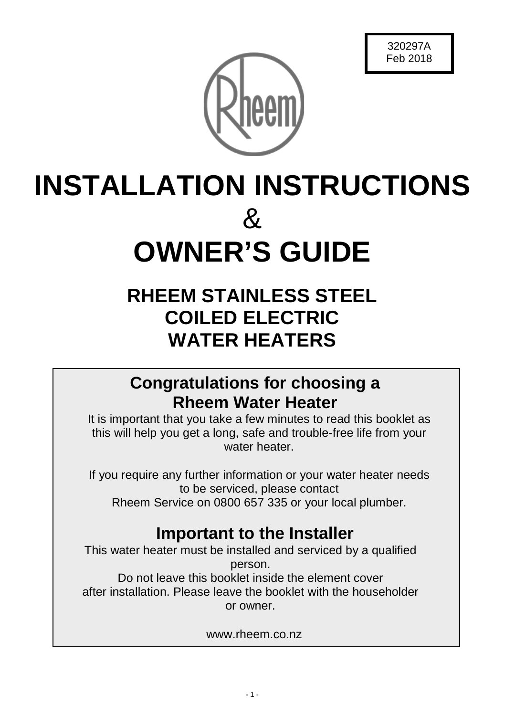

# **INSTALLATION INSTRUCTIONS**  $\mathcal{R}_{\mathcal{L}}$ **OWNER'S GUIDE**

# **RHEEM STAINLESS STEEL COILED ELECTRIC WATER HEATERS**

# **Congratulations for choosing a Rheem Water Heater**

It is important that you take a few minutes to read this booklet as this will help you get a long, safe and trouble-free life from your water heater

If you require any further information or your water heater needs to be serviced, please contact Rheem Service on 0800 657 335 or your local plumber.

# **Important to the Installer**

This water heater must be installed and serviced by a qualified person. Do not leave this booklet inside the element cover after installation. Please leave the booklet with the householder or owner.

www.rheem.co.nz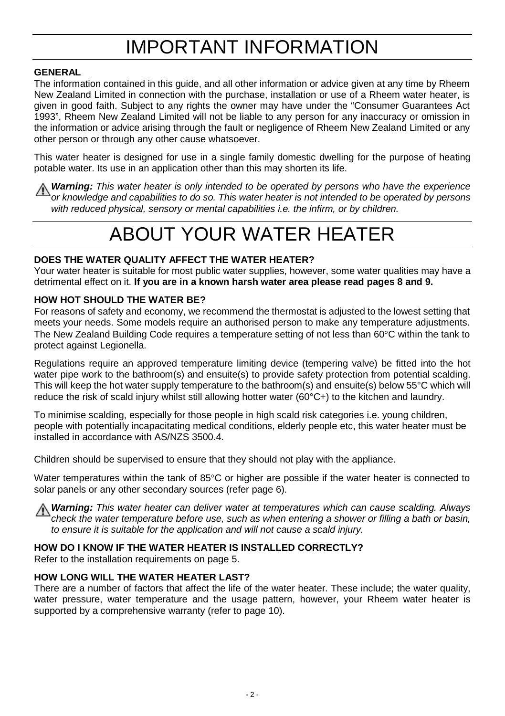# IMPORTANT INFORMATION

# **GENERAL**

The information contained in this guide, and all other information or advice given at any time by Rheem New Zealand Limited in connection with the purchase, installation or use of a Rheem water heater, is given in good faith. Subject to any rights the owner may have under the "Consumer Guarantees Act 1993", Rheem New Zealand Limited will not be liable to any person for any inaccuracy or omission in the information or advice arising through the fault or negligence of Rheem New Zealand Limited or any other person or through any other cause whatsoever.

This water heater is designed for use in a single family domestic dwelling for the purpose of heating potable water. Its use in an application other than this may shorten its life.

*Warning: This water heater is only intended to be operated by persons who have the experience or knowledge and capabilities to do so. This water heater is not intended to be operated by persons with reduced physical, sensory or mental capabilities i.e. the infirm, or by children.*

# ABOUT YOUR WATER HEATER

### **DOES THE WATER QUALITY AFFECT THE WATER HEATER?**

Your water heater is suitable for most public water supplies, however, some water qualities may have a detrimental effect on it. **If you are in a known harsh water area please read pages 8 an[d 9.](#page-8-0)**

### **HOW HOT SHOULD THE WATER BE?**

For reasons of safety and economy, we recommend the thermostat is adjusted to the lowest setting that meets your needs. Some models require an authorised person to make any temperature adjustments. The New Zealand Building Code requires a temperature setting of not less than 60°C within the tank to protect against Legionella.

Regulations require an approved temperature limiting device (tempering valve) be fitted into the hot water pipe work to the bathroom(s) and ensuite(s) to provide safety protection from potential scalding. This will keep the hot water supply temperature to the bathroom(s) and ensuite(s) below 55°C which will reduce the risk of scald injury whilst still allowing hotter water (60°C+) to the kitchen and laundry.

To minimise scalding, especially for those people in high scald risk categories i.e. young children, people with potentially incapacitating medical conditions, elderly people etc, this water heater must be installed in accordance with AS/NZS 3500.4.

Children should be supervised to ensure that they should not play with the appliance.

Water temperatures within the tank of 85°C or higher are possible if the water heater is connected to solar panels or any other secondary sources (refer page 6).

*Warning: This water heater can deliver water at temperatures which can cause scalding. Always check the water temperature before use, such as when entering a shower or filling a bath or basin, to ensure it is suitable for the application and will not cause a scald injury.*

### **HOW DO I KNOW IF THE WATER HEATER IS INSTALLED CORRECTLY?**

Refer to the installation requirements on page 5.

#### **HOW LONG WILL THE WATER HEATER LAST?**

There are a number of factors that affect the life of the water heater. These include; the water quality, water pressure, water temperature and the usage pattern, however, your Rheem water heater is supported by a comprehensive warranty (refer to page 10).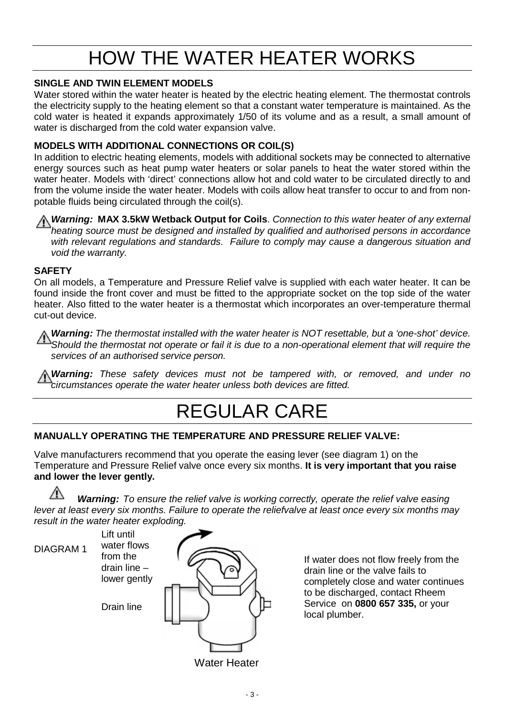# HOW THE WATER HEATER WORKS

# **SINGLE AND TWIN ELEMENT MODELS**

Water stored within the water heater is heated by the electric heating element. The thermostat controls the electricity supply to the heating element so that a constant water temperature is maintained. As the cold water is heated it expands approximately 1/50 of its volume and as a result, a small amount of water is discharged from the cold water expansion valve.

# **MODELS WITH ADDITIONAL CONNECTIONS OR COIL(S)**

In addition to electric heating elements, models with additional sockets may be connected to alternative energy sources such as heat pump water heaters or solar panels to heat the water stored within the water heater. Models with 'direct' connections allow hot and cold water to be circulated directly to and from the volume inside the water heater. Models with coils allow heat transfer to occur to and from nonpotable fluids being circulated through the coil(s).

*Warning:* **MAX 3.5kW Wetback Output for Coils**. *Connection to this water heater of any external heating source must be designed and installed by qualified and authorised persons in accordance with relevant regulations and standards. Failure to comply may cause a dangerous situation and void the warranty.*

# **SAFETY**

On all models, a Temperature and Pressure Relief valve is supplied with each water heater. It can be found inside the front cover and must be fitted to the appropriate socket on the top side of the water heater. Also fitted to the water heater is a thermostat which incorporates an over-temperature thermal cut-out device.

*Warning: The thermostat installed with the water heater is NOT resettable, but a 'one-shot' device. Should the thermostat not operate or fail it is due to a non-operational element that will require the services of an authorised service person.*

*Warning: These safety devices must not be tampered with, or removed, and under no circumstances operate the water heater unless both devices are fitted.*

# REGULAR CARE

# **MANUALLY OPERATING THE TEMPERATURE AND PRESSURE RELIEF VALVE:**

Valve manufacturers recommend that you operate the easing lever (see diagram 1) on the Temperature and Pressure Relief valve once every six months. **It is very important that you raise and lower the lever gently.**

*Warning: To ensure the relief valve is working correctly, operate the relief valve easing lever at least every six months. Failure to operate the reliefvalve at least once every six months may result in the water heater exploding.*

DIAGRAM 1 Water Heater Drain line Lift until water flows from the drain line – lower gently

If water does not flow freely from the drain line or the valve fails to completely close and water continues to be discharged, contact Rheem Service on **0800 657 335,** or your local plumber.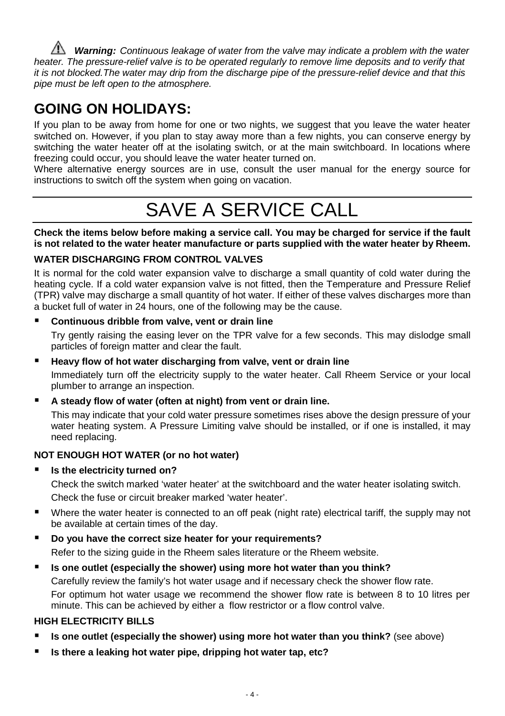*A Warning: Continuous leakage of water from the valve may indicate a problem with the water heater. The pressure-relief valve is to be operated regularly to remove lime deposits and to verify that it is not blocked.The water may drip from the discharge pipe of the pressure-relief device and that this pipe must be left open to the atmosphere.*

# **GOING ON HOLIDAYS:**

If you plan to be away from home for one or two nights, we suggest that you leave the water heater switched on. However, if you plan to stay away more than a few nights, you can conserve energy by switching the water heater off at the isolating switch, or at the main switchboard. In locations where freezing could occur, you should leave the water heater turned on.

Where alternative energy sources are in use, consult the user manual for the energy source for instructions to switch off the system when going on vacation.

# SAVE A SERVICE CALL

**Check the items below before making a service call. You may be charged for service if the fault is not related to the water heater manufacture or parts supplied with the water heater by Rheem.**

# **WATER DISCHARGING FROM CONTROL VALVES**

It is normal for the cold water expansion valve to discharge a small quantity of cold water during the heating cycle. If a cold water expansion valve is not fitted, then the Temperature and Pressure Relief (TPR) valve may discharge a small quantity of hot water. If either of these valves discharges more than a bucket full of water in 24 hours, one of the following may be the cause.

# **Continuous dribble from valve, vent or drain line**

Try gently raising the easing lever on the TPR valve for a few seconds. This may dislodge small particles of foreign matter and clear the fault.

### **Heavy flow of hot water discharging from valve, vent or drain line**

Immediately turn off the electricity supply to the water heater. Call Rheem Service or your local plumber to arrange an inspection.

### **A steady flow of water (often at night) from vent or drain line.**

This may indicate that your cold water pressure sometimes rises above the design pressure of your water heating system. A Pressure Limiting valve should be installed, or if one is installed, it may need replacing.

# **NOT ENOUGH HOT WATER (or no hot water)**

**Is the electricity turned on?**

Check the switch marked 'water heater' at the switchboard and the water heater isolating switch. Check the fuse or circuit breaker marked 'water heater'.

- Where the water heater is connected to an off peak (night rate) electrical tariff, the supply may not be available at certain times of the day.
- **Do you have the correct size heater for your requirements?** Refer to the sizing guide in the Rheem sales literature or the Rheem website.
- **Is one outlet (especially the shower) using more hot water than you think?** Carefully review the family's hot water usage and if necessary check the shower flow rate. For optimum hot water usage we recommend the shower flow rate is between 8 to 10 litres per minute. This can be achieved by either a flow restrictor or a flow control valve.

# **HIGH ELECTRICITY BILLS**

- **Is one outlet (especially the shower) using more hot water than you think?** (see above)
- **Is there a leaking hot water pipe, dripping hot water tap, etc?**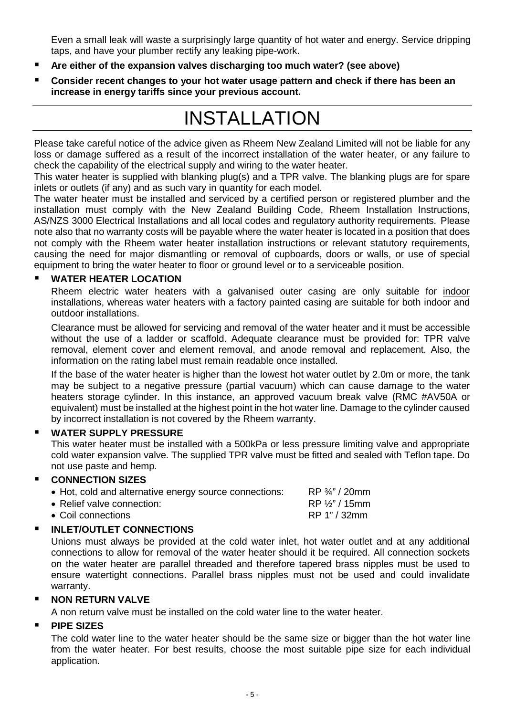Even a small leak will waste a surprisingly large quantity of hot water and energy. Service dripping taps, and have your plumber rectify any leaking pipe-work.

- **Are either of the expansion valves discharging too much water? (see above)**
- **Consider recent changes to your hot water usage pattern and check if there has been an increase in energy tariffs since your previous account.**

# INSTALLATION

Please take careful notice of the advice given as Rheem New Zealand Limited will not be liable for any loss or damage suffered as a result of the incorrect installation of the water heater, or any failure to check the capability of the electrical supply and wiring to the water heater.

This water heater is supplied with blanking plug(s) and a TPR valve. The blanking plugs are for spare inlets or outlets (if any) and as such vary in quantity for each model.

The water heater must be installed and serviced by a certified person or registered plumber and the installation must comply with the New Zealand Building Code, Rheem Installation Instructions, AS/NZS 3000 Electrical Installations and all local codes and regulatory authority requirements. Please note also that no warranty costs will be payable where the water heater is located in a position that does not comply with the Rheem water heater installation instructions or relevant statutory requirements, causing the need for major dismantling or removal of cupboards, doors or walls, or use of special equipment to bring the water heater to floor or ground level or to a serviceable position.

#### **WATER HEATER LOCATION**

Rheem electric water heaters with a galvanised outer casing are only suitable for indoor installations, whereas water heaters with a factory painted casing are suitable for both indoor and outdoor installations.

Clearance must be allowed for servicing and removal of the water heater and it must be accessible without the use of a ladder or scaffold. Adequate clearance must be provided for: TPR valve removal, element cover and element removal, and anode removal and replacement. Also, the information on the rating label must remain readable once installed.

If the base of the water heater is higher than the lowest hot water outlet by 2.0m or more, the tank may be subject to a negative pressure (partial vacuum) which can cause damage to the water heaters storage cylinder. In this instance, an approved vacuum break valve (RMC #AV50A or equivalent) must be installed at the highest point in the hot water line. Damage to the cylinder caused by incorrect installation is not covered by the Rheem warranty.

#### **WATER SUPPLY PRESSURE**

This water heater must be installed with a 500kPa or less pressure limiting valve and appropriate cold water expansion valve. The supplied TPR valve must be fitted and sealed with Teflon tape. Do not use paste and hemp.

# **CONNECTION SIZES**

| • Hot, cold and alternative energy source connections: | $RP \frac{3}{4}$ " / 20mm   |
|--------------------------------------------------------|-----------------------------|
| • Relief valve connection:                             | RP 1/ <sub>2</sub> " / 15mm |
| • Coil connections                                     | RP 1" / 32mm                |

### **INLET/OUTLET CONNECTIONS**

Unions must always be provided at the cold water inlet, hot water outlet and at any additional connections to allow for removal of the water heater should it be required. All connection sockets on the water heater are parallel threaded and therefore tapered brass nipples must be used to ensure watertight connections. Parallel brass nipples must not be used and could invalidate warranty.

#### **NON RETURN VALVE**

A non return valve must be installed on the cold water line to the water heater.

#### **PIPE SIZES**

The cold water line to the water heater should be the same size or bigger than the hot water line from the water heater. For best results, choose the most suitable pipe size for each individual application.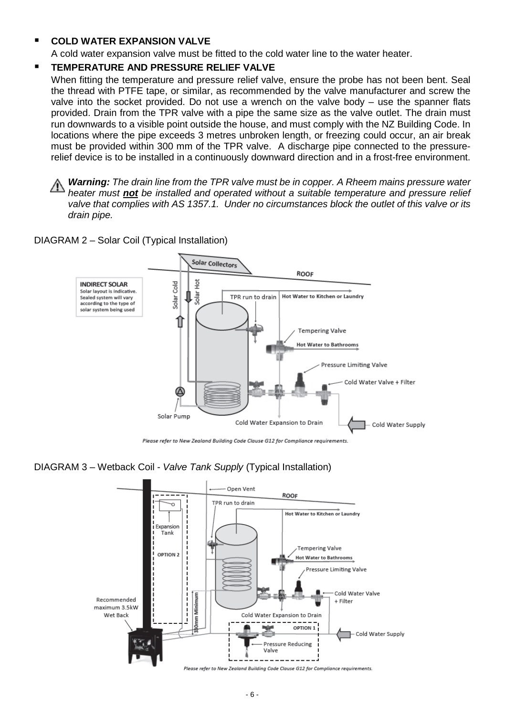#### **COLD WATER EXPANSION VALVE**

A cold water expansion valve must be fitted to the cold water line to the water heater.

#### **TEMPERATURE AND PRESSURE RELIEF VALVE**

When fitting the temperature and pressure relief valve, ensure the probe has not been bent. Seal the thread with PTFE tape, or similar, as recommended by the valve manufacturer and screw the valve into the socket provided. Do not use a wrench on the valve body – use the spanner flats provided. Drain from the TPR valve with a pipe the same size as the valve outlet. The drain must run downwards to a visible point outside the house, and must comply with the NZ Building Code. In locations where the pipe exceeds 3 metres unbroken length, or freezing could occur, an air break must be provided within 300 mm of the TPR valve.A discharge pipe connected to the pressurerelief device is to be installed in a continuously downward direction and in a frost-free environment.

*Warning: The drain line from the TPR valve must be in copper. A Rheem mains pressure water heater must not be installed and operated without a suitable temperature and pressure relief valve that complies with AS 1357.1. Under no circumstances block the outlet of this valve or its drain pipe.*

DIAGRAM 2 – Solar Coil (Typical Installation)



Please refer to New Zealand Building Code Clause G12 for Compliance requirements

#### DIAGRAM 3 – Wetback Coil - *Valve Tank Supply* (Typical Installation)

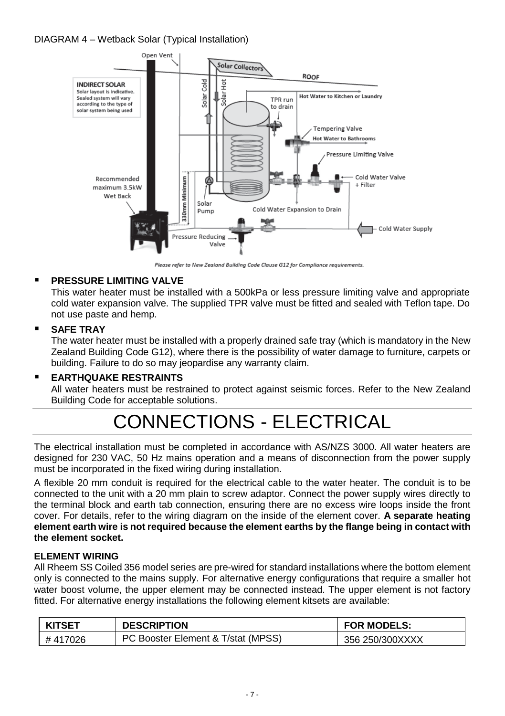# DIAGRAM 4 – Wetback Solar (Typical Installation)



Please refer to New Zealand Buildina Code Clause G12 for Compliance reauirements.

# **PRESSURE LIMITING VALVE**

This water heater must be installed with a 500kPa or less pressure limiting valve and appropriate cold water expansion valve. The supplied TPR valve must be fitted and sealed with Teflon tape. Do not use paste and hemp.

### **SAFE TRAY**

The water heater must be installed with a properly drained safe tray (which is mandatory in the New Zealand Building Code G12), where there is the possibility of water damage to furniture, carpets or building. Failure to do so may jeopardise any warranty claim.

### **EARTHQUAKE RESTRAINTS**

All water heaters must be restrained to protect against seismic forces. Refer to the New Zealand Building Code for acceptable solutions.

# CONNECTIONS - ELECTRICAL

The electrical installation must be completed in accordance with AS/NZS 3000. All water heaters are designed for 230 VAC, 50 Hz mains operation and a means of disconnection from the power supply must be incorporated in the fixed wiring during installation.

A flexible 20 mm conduit is required for the electrical cable to the water heater. The conduit is to be connected to the unit with a 20 mm plain to screw adaptor. Connect the power supply wires directly to the terminal block and earth tab connection, ensuring there are no excess wire loops inside the front cover. For details, refer to the wiring diagram on the inside of the element cover. **A separate heating element earth wire is not required because the element earths by the flange being in contact with the element socket.**

### **ELEMENT WIRING**

All Rheem SS Coiled 356 model series are pre-wired for standard installations where the bottom element only is connected to the mains supply. For alternative energy configurations that require a smaller hot water boost volume, the upper element may be connected instead. The upper element is not factory fitted. For alternative energy installations the following element kitsets are available:

| <b>KITSET</b> | <b>DESCRIPTION</b>                 | <b>FOR MODELS:</b> |
|---------------|------------------------------------|--------------------|
| #417026       | PC Booster Element & T/stat (MPSS) | 356 250/300XXXX    |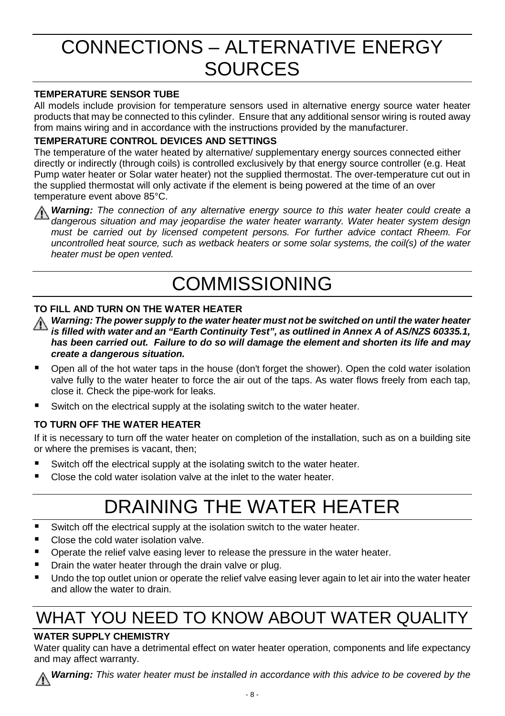# CONNECTIONS – ALTERNATIVE ENERGY **SOURCES**

# **TEMPERATURE SENSOR TUBE**

All models include provision for temperature sensors used in alternative energy source water heater products that may be connected to this cylinder. Ensure that any additional sensor wiring is routed away from mains wiring and in accordance with the instructions provided by the manufacturer.

### **TEMPERATURE CONTROL DEVICES AND SETTINGS**

The temperature of the water heated by alternative/ supplementary energy sources connected either directly or indirectly (through coils) is controlled exclusively by that energy source controller (e.g. Heat Pump water heater or Solar water heater) not the supplied thermostat. The over-temperature cut out in the supplied thermostat will only activate if the element is being powered at the time of an over temperature event above 85°C.

*Warning: The connection of any alternative energy source to this water heater could create a dangerous situation and may jeopardise the water heater warranty. Water heater system design must be carried out by licensed competent persons. For further advice contact Rheem. For uncontrolled heat source, such as wetback heaters or some solar systems, the coil(s) of the water heater must be open vented.*

# COMMISSIONING

# **TO FILL AND TURN ON THE WATER HEATER**

*Warning: The power supply to the water heater must not be switched on until the water heater is filled with water and an "Earth Continuity Test", as outlined in Annex A of AS/NZS 60335.1, has been carried out. Failure to do so will damage the element and shorten its life and may create a dangerous situation.*

- Open all of the hot water taps in the house (don't forget the shower). Open the cold water isolation valve fully to the water heater to force the air out of the taps. As water flows freely from each tap, close it. Check the pipe-work for leaks.
- Switch on the electrical supply at the isolating switch to the water heater.

# **TO TURN OFF THE WATER HEATER**

If it is necessary to turn off the water heater on completion of the installation, such as on a building site or where the premises is vacant, then;

- Switch off the electrical supply at the isolating switch to the water heater.
- Close the cold water isolation valve at the inlet to the water heater.

# DRAINING THE WATER HEATER

- Switch off the electrical supply at the isolation switch to the water heater.
- Close the cold water isolation valve.
- **P** Operate the relief valve easing lever to release the pressure in the water heater.
- **P** Drain the water heater through the drain valve or plug.
- **Undo the top outlet union or operate the relief valve easing lever again to let air into the water heater** and allow the water to drain.

# WHAT YOU NEED TO KNOW ABOUT WATER QUALITY

# **WATER SUPPLY CHEMISTRY**

Water quality can have a detrimental effect on water heater operation, components and life expectancy and may affect warranty.



*Warning: This water heater must be installed in accordance with this advice to be covered by the*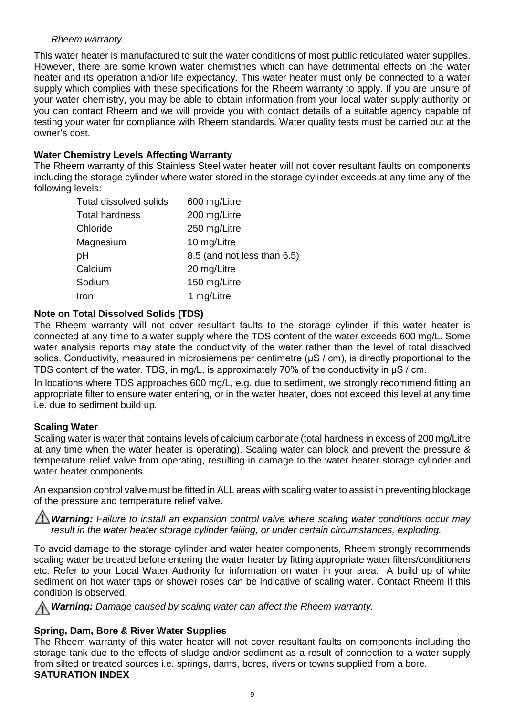#### *Rheem warranty.*

This water heater is manufactured to suit the water conditions of most public reticulated water supplies. However, there are some known water chemistries which can have detrimental effects on the water heater and its operation and/or life expectancy. This water heater must only be connected to a water supply which complies with these specifications for the Rheem warranty to apply. If you are unsure of your water chemistry, you may be able to obtain information from your local water supply authority or you can contact Rheem and we will provide you with contact details of a suitable agency capable of testing your water for compliance with Rheem standards. Water quality tests must be carried out at the owner's cost.

#### **Water Chemistry Levels Affecting Warranty**

The Rheem warranty of this Stainless Steel water heater will not cover resultant faults on components including the storage cylinder where water stored in the storage cylinder exceeds at any time any of the following levels:

| Total dissolved solids | 600 mg/Litre                |
|------------------------|-----------------------------|
| <b>Total hardness</b>  | 200 mg/Litre                |
| Chloride               | 250 mg/Litre                |
| Magnesium              | 10 mg/Litre                 |
| рH                     | 8.5 (and not less than 6.5) |
| Calcium                | 20 mg/Litre                 |
| Sodium                 | 150 mg/Litre                |
| Iron                   | 1 mg/Litre                  |

#### **Note on Total Dissolved Solids (TDS)**

The Rheem warranty will not cover resultant faults to the storage cylinder if this water heater is connected at any time to a water supply where the TDS content of the water exceeds 600 mg/L. Some water analysis reports may state the conductivity of the water rather than the level of total dissolved solids. Conductivity, measured in microsiemens per centimetre (μS / cm), is directly proportional to the TDS content of the water. TDS, in mg/L, is approximately 70% of the conductivity in μS / cm.

In locations where TDS approaches 600 mg/L, e.g. due to sediment, we strongly recommend fitting an appropriate filter to ensure water entering, or in the water heater, does not exceed this level at any time i.e. due to sediment build up.

#### **Scaling Water**

Scaling water is water that contains levels of calcium carbonate (total hardness in excess of 200 mg/Litre at any time when the water heater is operating). Scaling water can block and prevent the pressure & temperature relief valve from operating, resulting in damage to the water heater storage cylinder and water heater components.

An expansion control valve must be fitted in ALL areas with scaling water to assist in preventing blockage of the pressure and temperature relief valve.

*A***) Warning:** Failure to install an expansion control valve where scaling water conditions occur may *result in the water heater storage cylinder failing, or under certain circumstances, exploding.*

To avoid damage to the storage cylinder and water heater components, Rheem strongly recommends scaling water be treated before entering the water heater by fitting appropriate water filters/conditioners etc. Refer to your Local Water Authority for information on water in your area. A build up of white sediment on hot water taps or shower roses can be indicative of scaling water. Contact Rheem if this condition is observed.

*Warning: Damage caused by scaling water can affect the Rheem warranty.*

### <span id="page-8-0"></span>**Spring, Dam, Bore & River Water Supplies**

The Rheem warranty of this water heater will not cover resultant faults on components including the storage tank due to the effects of sludge and/or sediment as a result of connection to a water supply from silted or treated sources i.e. springs, dams, bores, rivers or towns supplied from a bore. **SATURATION INDEX**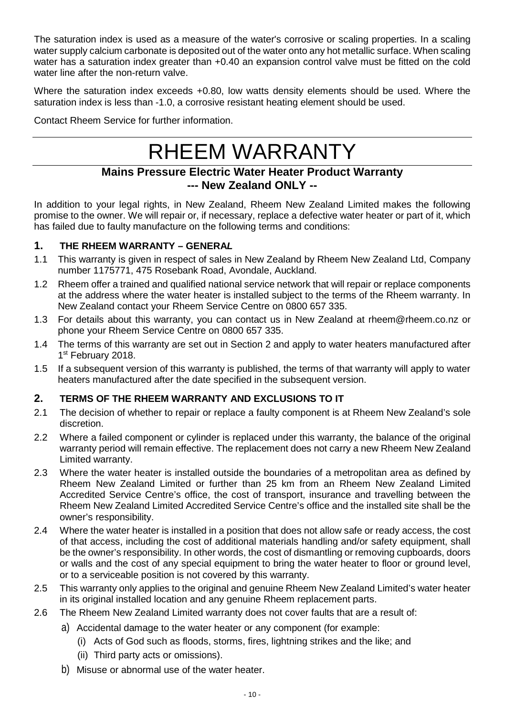The saturation index is used as a measure of the water's corrosive or scaling properties. In a scaling water supply calcium carbonate is deposited out of the water onto any hot metallic surface. When scaling water has a saturation index greater than +0.40 an expansion control valve must be fitted on the cold water line after the non-return valve.

Where the saturation index exceeds +0.80, low watts density elements should be used. Where the saturation index is less than -1.0, a corrosive resistant heating element should be used.

Contact Rheem Service for further information.

# RHEEM WARRANTY

# **Mains Pressure Electric Water Heater Product Warranty --- New Zealand ONLY --**

In addition to your legal rights, in New Zealand, Rheem New Zealand Limited makes the following promise to the owner. We will repair or, if necessary, replace a defective water heater or part of it, which has failed due to faulty manufacture on the following terms and conditions:

# **1. THE RHEEM WARRANTY – GENERA***L*

- 1.1 This warranty is given in respect of sales in New Zealand by Rheem New Zealand Ltd, Company number 1175771, 475 Rosebank Road, Avondale, Auckland.
- 1.2 Rheem offer a trained and qualified national service network that will repair or replace components at the address where the water heater is installed subject to the terms of the Rheem warranty. In New Zealand contact your Rheem Service Centre on 0800 657 335.
- 1.3 For details about this warranty, you can contact us in New Zealand at [rheem@rheem.co.nz](mailto:rheem@rheem.co.nz) or phone your Rheem Service Centre on 0800 657 335.
- 1.4 The terms of this warranty are set out in Section 2 and apply to water heaters manufactured after 1st February 2018.
- 1.5 If a subsequent version of this warranty is published, the terms of that warranty will apply to water heaters manufactured after the date specified in the subsequent version.

# **2. TERMS OF THE RHEEM WARRANTY AND EXCLUSIONS TO IT**

- 2.1 The decision of whether to repair or replace a faulty component is at Rheem New Zealand's sole discretion.
- 2.2 Where a failed component or cylinder is replaced under this warranty, the balance of the original warranty period will remain effective. The replacement does not carry a new Rheem New Zealand Limited warranty.
- 2.3 Where the water heater is installed outside the boundaries of a metropolitan area as defined by Rheem New Zealand Limited or further than 25 km from an Rheem New Zealand Limited Accredited Service Centre's office, the cost of transport, insurance and travelling between the Rheem New Zealand Limited Accredited Service Centre's office and the installed site shall be the owner's responsibility.
- 2.4 Where the water heater is installed in a position that does not allow safe or ready access, the cost of that access, including the cost of additional materials handling and/or safety equipment, shall be the owner's responsibility. In other words, the cost of dismantling or removing cupboards, doors or walls and the cost of any special equipment to bring the water heater to floor or ground level, or to a serviceable position is not covered by this warranty.
- 2.5 This warranty only applies to the original and genuine Rheem New Zealand Limited's water heater in its original installed location and any genuine Rheem replacement parts.
- 2.6 The Rheem New Zealand Limited warranty does not cover faults that are a result of:
	- a) Accidental damage to the water heater or any component (for example:
		- (i) Acts of God such as floods, storms, fires, lightning strikes and the like; and
		- (ii) Third party acts or omissions).
	- b) Misuse or abnormal use of the water heater.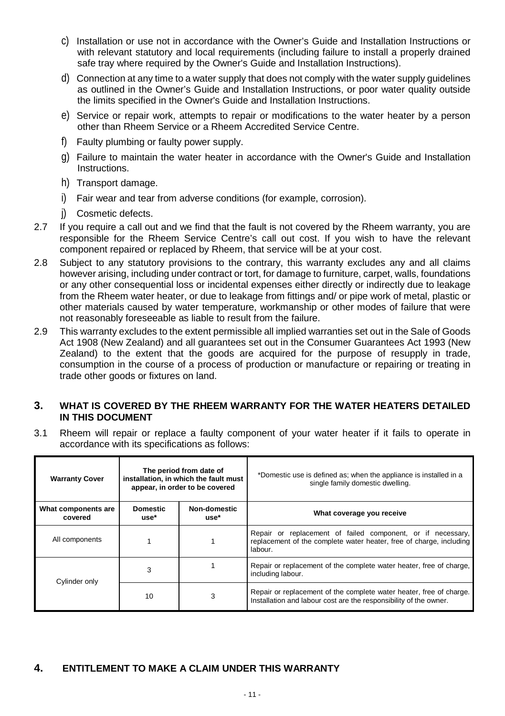- c) Installation or use not in accordance with the Owner's Guide and Installation Instructions or with relevant statutory and local requirements (including failure to install a properly drained safe tray where required by the Owner's Guide and Installation Instructions).
- d) Connection at any time to a water supply that does not comply with the water supply guidelines as outlined in the Owner's Guide and Installation Instructions, or poor water quality outside the limits specified in the Owner's Guide and Installation Instructions.
- e) Service or repair work, attempts to repair or modifications to the water heater by a person other than Rheem Service or a Rheem Accredited Service Centre.
- f) Faulty plumbing or faulty power supply.
- g) Failure to maintain the water heater in accordance with the Owner's Guide and Installation Instructions.
- h) Transport damage.
- i) Fair wear and tear from adverse conditions (for example, corrosion).
- j) Cosmetic defects.
- 2.7 If you require a call out and we find that the fault is not covered by the Rheem warranty, you are responsible for the Rheem Service Centre's call out cost. If you wish to have the relevant component repaired or replaced by Rheem, that service will be at your cost.
- 2.8 Subject to any statutory provisions to the contrary, this warranty excludes any and all claims however arising, including under contract or tort, for damage to furniture, carpet, walls, foundations or any other consequential loss or incidental expenses either directly or indirectly due to leakage from the Rheem water heater, or due to leakage from fittings and/ or pipe work of metal, plastic or other materials caused by water temperature, workmanship or other modes of failure that were not reasonably foreseeable as liable to result from the failure.
- 2.9 This warranty excludes to the extent permissible all implied warranties set out in the Sale of Goods Act 1908 (New Zealand) and all guarantees set out in the Consumer Guarantees Act 1993 (New Zealand) to the extent that the goods are acquired for the purpose of resupply in trade, consumption in the course of a process of production or manufacture or repairing or treating in trade other goods or fixtures on land.

#### **3. WHAT IS COVERED BY THE RHEEM WARRANTY FOR THE WATER HEATERS DETAILED IN THIS DOCUMENT**

3.1 Rheem will repair or replace a faulty component of your water heater if it fails to operate in accordance with its specifications as follows:

| <b>Warranty Cover</b>          | The period from date of<br>installation, in which the fault must<br>appear, in order to be covered |                      | *Domestic use is defined as; when the appliance is installed in a<br>single family domestic dwelling.                                         |
|--------------------------------|----------------------------------------------------------------------------------------------------|----------------------|-----------------------------------------------------------------------------------------------------------------------------------------------|
| What components are<br>covered | <b>Domestic</b><br>use*                                                                            | Non-domestic<br>use* | What coverage you receive                                                                                                                     |
| All components                 |                                                                                                    |                      | Repair or replacement of failed component, or if necessary,<br>replacement of the complete water heater, free of charge, including<br>labour. |
| Cylinder only                  | 3                                                                                                  |                      | Repair or replacement of the complete water heater, free of charge,<br>including labour.                                                      |
|                                | 10                                                                                                 | 3                    | Repair or replacement of the complete water heater, free of charge.<br>Installation and labour cost are the responsibility of the owner.      |

# **4. ENTITLEMENT TO MAKE A CLAIM UNDER THIS WARRANTY**